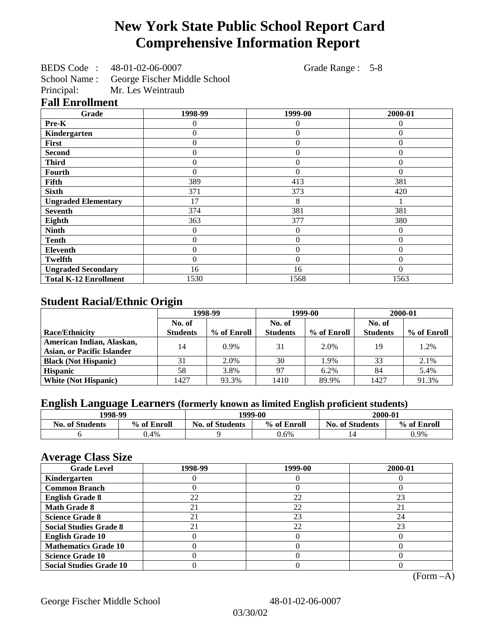# **New York State Public School Report Card Comprehensive Information Report**

BEDS Code : 48-01-02-06-0007 Grade Range : 5-8

School Name : George Fischer Middle School<br>Principal: Mr. Les Weintraub Mr. Les Weintraub

### **Fall Enrollment**

| Grade                        | 1998-99        | 1999-00          | 2000-01  |
|------------------------------|----------------|------------------|----------|
| Pre-K                        |                | $\left( \right)$ | $\Omega$ |
| Kindergarten                 | 0              | 0                | $\Omega$ |
| First                        | 0              | 0                | $\theta$ |
| <b>Second</b>                | 0              | 0                | $\theta$ |
| <b>Third</b>                 | 0              | $\theta$         | $\theta$ |
| <b>Fourth</b>                | 0              | $\theta$         | $\Omega$ |
| Fifth                        | 389            | 413              | 381      |
| <b>Sixth</b>                 | 371            | 373              | 420      |
| <b>Ungraded Elementary</b>   | 17             | 8                |          |
| <b>Seventh</b>               | 374            | 381              | 381      |
| Eighth                       | 363            | 377              | 380      |
| <b>Ninth</b>                 | 0              | $\theta$         | $\theta$ |
| <b>Tenth</b>                 | $\overline{0}$ | $\overline{0}$   | $\theta$ |
| <b>Eleventh</b>              | $\overline{0}$ | $\overline{0}$   | $\theta$ |
| <b>Twelfth</b>               | $\overline{0}$ | $\overline{0}$   | $\Omega$ |
| <b>Ungraded Secondary</b>    | 16             | 16               | $\Omega$ |
| <b>Total K-12 Enrollment</b> | 1530           | 1568             | 1563     |

## **Student Racial/Ethnic Origin**

|                                   | 1998-99         |             |                 | 1999-00     | 2000-01         |             |
|-----------------------------------|-----------------|-------------|-----------------|-------------|-----------------|-------------|
|                                   | No. of          |             | No. of          |             | No. of          |             |
| <b>Race/Ethnicity</b>             | <b>Students</b> | % of Enroll | <b>Students</b> | % of Enroll | <b>Students</b> | % of Enroll |
| American Indian, Alaskan,         | 14              | $0.9\%$     | 31              | 2.0%        | 19              | 1.2%        |
| <b>Asian, or Pacific Islander</b> |                 |             |                 |             |                 |             |
| <b>Black (Not Hispanic)</b>       | 31              | 2.0%        | 30              | 1.9%        | 33              | 2.1%        |
| <b>Hispanic</b>                   | 58              | 3.8%        | 97              | 6.2%        | 84              | 5.4%        |
| <b>White (Not Hispanic)</b>       | 1427            | 93.3%       | 1410            | 89.9%       | 1427            | 91.3%       |

## **English Language Learners (formerly known as limited English proficient students)**

| 1998-99                |             |                        | 1999-00     | 2000-01                |             |  |
|------------------------|-------------|------------------------|-------------|------------------------|-------------|--|
| <b>No. of Students</b> | % of Enroll | <b>No. of Students</b> | % of Enroll | <b>No. of Students</b> | % of Enroll |  |
|                        | 0.4%        |                        | 0.6%        | ⊥≃                     | 0.9%        |  |

#### **Average Class Size**

| o<br><b>Grade Level</b>        | 1998-99 | 1999-00 | 2000-01 |
|--------------------------------|---------|---------|---------|
| Kindergarten                   |         |         |         |
| <b>Common Branch</b>           |         |         |         |
| <b>English Grade 8</b>         | 22      | 22      | 23      |
| <b>Math Grade 8</b>            | 21      | 22      | 21      |
| <b>Science Grade 8</b>         |         | 23      | 24      |
| <b>Social Studies Grade 8</b>  |         | 22      | 23      |
| <b>English Grade 10</b>        |         |         |         |
| <b>Mathematics Grade 10</b>    |         |         |         |
| <b>Science Grade 10</b>        |         |         |         |
| <b>Social Studies Grade 10</b> |         |         |         |

(Form –A)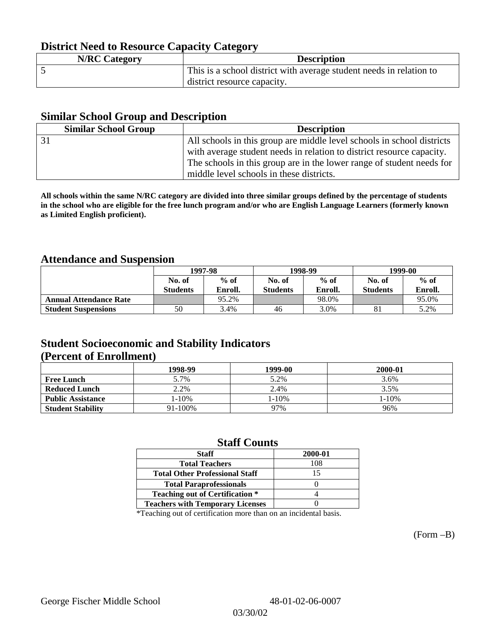## **District Need to Resource Capacity Category**

| <b>N/RC Category</b> | <b>Description</b>                                                  |
|----------------------|---------------------------------------------------------------------|
|                      | This is a school district with average student needs in relation to |
|                      | district resource capacity.                                         |

#### **Similar School Group and Description**

| <b>Similar School Group</b> | <b>Description</b>                                                     |
|-----------------------------|------------------------------------------------------------------------|
|                             | All schools in this group are middle level schools in school districts |
|                             | with average student needs in relation to district resource capacity.  |
|                             | The schools in this group are in the lower range of student needs for  |
|                             | middle level schools in these districts.                               |

**All schools within the same N/RC category are divided into three similar groups defined by the percentage of students in the school who are eligible for the free lunch program and/or who are English Language Learners (formerly known as Limited English proficient).**

#### **Attendance and Suspension**

|                               |                 | 1997-98 |                 | 1998-99 | 1999-00         |         |
|-------------------------------|-----------------|---------|-----------------|---------|-----------------|---------|
|                               | No. of          | $%$ of  |                 | $%$ of  | No. of          | $%$ of  |
|                               | <b>Students</b> | Enroll. | <b>Students</b> | Enroll. | <b>Students</b> | Enroll. |
| <b>Annual Attendance Rate</b> |                 | 95.2%   |                 | 98.0%   |                 | 95.0%   |
| <b>Student Suspensions</b>    | 50              | 3.4%    | 46              | 3.0%    | 81              | 5.2%    |

### **Student Socioeconomic and Stability Indicators (Percent of Enrollment)**

|                          | 1998-99    | 1999-00 | 2000-01 |
|--------------------------|------------|---------|---------|
| <b>Free Lunch</b>        | 5.7%       | 5.2%    | 3.6%    |
| <b>Reduced Lunch</b>     | 2.2%       | 2.4%    | 3.5%    |
| <b>Public Assistance</b> | $1 - 10\%$ | 1-10%   | 1-10%   |
| <b>Student Stability</b> | 91-100%    | 97%     | 96%     |

#### **Staff Counts**

| <b>Staff</b>                            | 2000-01 |
|-----------------------------------------|---------|
| <b>Total Teachers</b>                   | 108     |
| <b>Total Other Professional Staff</b>   | 15      |
| <b>Total Paraprofessionals</b>          |         |
| <b>Teaching out of Certification *</b>  |         |
| <b>Teachers with Temporary Licenses</b> |         |

\*Teaching out of certification more than on an incidental basis.

(Form –B)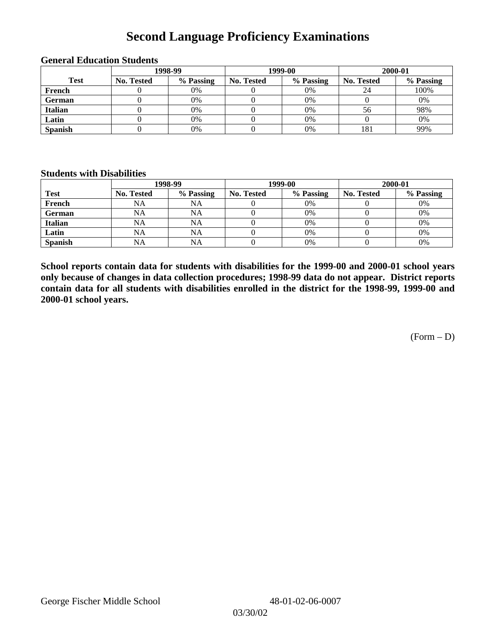# **Second Language Proficiency Examinations**

|                |            | 1998-99   |                   | 1999-00   | 2000-01    |           |  |
|----------------|------------|-----------|-------------------|-----------|------------|-----------|--|
| <b>Test</b>    | No. Tested | % Passing | <b>No. Tested</b> | % Passing | No. Tested | % Passing |  |
| French         |            | 0%        |                   | 0%        | 24         | 100%      |  |
| <b>German</b>  |            | 0%        |                   | 0%        |            | 0%        |  |
| <b>Italian</b> |            | 0%        |                   | 0%        | 56         | 98%       |  |
| Latin          |            | 0%        |                   | 0%        |            | 0%        |  |
| <b>Spanish</b> |            | 0%        |                   | 0%        | 181        | 99%       |  |

#### **General Education Students**

#### **Students with Disabilities**

|                | 1998-99    |           |                   | 1999-00   | 2000-01           |           |  |
|----------------|------------|-----------|-------------------|-----------|-------------------|-----------|--|
| <b>Test</b>    | No. Tested | % Passing | <b>No. Tested</b> | % Passing | <b>No. Tested</b> | % Passing |  |
| French         | NA         | <b>NA</b> |                   | 0%        |                   | 0%        |  |
| <b>German</b>  | <b>NA</b>  | NA        |                   | 0%        |                   | 0%        |  |
| <b>Italian</b> | <b>NA</b>  | NA        |                   | 0%        |                   | 0%        |  |
| Latin          | <b>NA</b>  | NA        |                   | 0%        |                   | 0%        |  |
| <b>Spanish</b> | <b>NA</b>  | NA        |                   | 0%        |                   | 0%        |  |

**School reports contain data for students with disabilities for the 1999-00 and 2000-01 school years only because of changes in data collection procedures; 1998-99 data do not appear. District reports contain data for all students with disabilities enrolled in the district for the 1998-99, 1999-00 and 2000-01 school years.**

 $(Form - D)$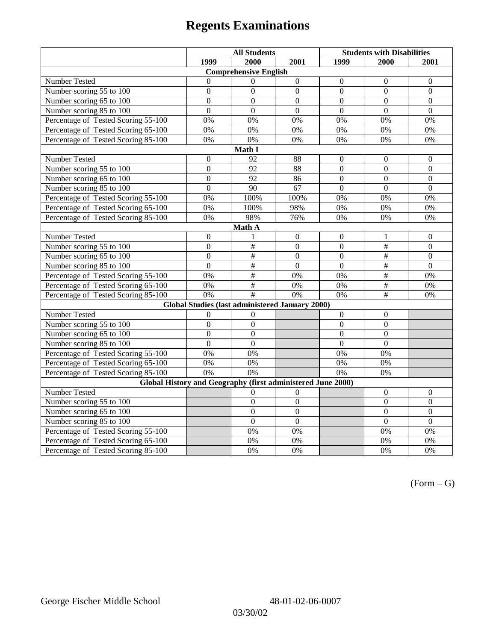# **Regents Examinations**

|                                                                                             | <b>All Students</b> |                                                        |                  | <b>Students with Disabilities</b> |                           |                  |  |  |
|---------------------------------------------------------------------------------------------|---------------------|--------------------------------------------------------|------------------|-----------------------------------|---------------------------|------------------|--|--|
|                                                                                             | 1999                | 2000                                                   | 2001             | 1999                              | 2000                      | 2001             |  |  |
|                                                                                             |                     | <b>Comprehensive English</b>                           |                  |                                   |                           |                  |  |  |
| Number Tested                                                                               | $\theta$            | $\Omega$                                               | $\boldsymbol{0}$ | $\Omega$                          | $\Omega$                  | $\mathbf{0}$     |  |  |
| Number scoring $55 \overline{\text{to } 100}$                                               | $\mathbf{0}$        | $\mathbf{0}$                                           | $\Omega$         | $\Omega$                          | $\Omega$                  | $\Omega$         |  |  |
| Number scoring 65 to 100                                                                    | $\overline{0}$      | $\overline{0}$                                         | $\overline{0}$   | $\overline{0}$                    | $\overline{0}$            | $\overline{0}$   |  |  |
| Number scoring 85 to 100                                                                    | $\overline{0}$      | $\overline{0}$                                         | $\Omega$         | $\overline{0}$                    | $\overline{0}$            | $\overline{0}$   |  |  |
| Percentage of Tested Scoring 55-100                                                         | 0%                  | 0%                                                     | 0%               | 0%                                | 0%                        | 0%               |  |  |
| Percentage of Tested Scoring 65-100                                                         | 0%                  | 0%                                                     | 0%               | 0%                                | 0%                        | 0%               |  |  |
| Percentage of Tested Scoring 85-100                                                         | 0%                  | 0%                                                     | 0%               | 0%                                | 0%                        | 0%               |  |  |
|                                                                                             |                     | Math I                                                 |                  |                                   |                           |                  |  |  |
| Number Tested<br>$\mathbf{0}$<br>92<br>88<br>$\overline{0}$<br>$\mathbf{0}$<br>$\mathbf{0}$ |                     |                                                        |                  |                                   |                           |                  |  |  |
| Number scoring 55 to 100                                                                    | $\overline{0}$      | $\overline{92}$                                        | 88               | $\overline{0}$                    | $\overline{0}$            | $\boldsymbol{0}$ |  |  |
| Number scoring 65 to 100                                                                    | $\boldsymbol{0}$    | 92                                                     | 86               | $\mathbf{0}$                      | $\mathbf{0}$              | $\mathbf{0}$     |  |  |
| Number scoring 85 to 100                                                                    | $\overline{0}$      | 90                                                     | 67               | $\overline{0}$                    | $\overline{0}$            | $\overline{0}$   |  |  |
| Percentage of Tested Scoring 55-100                                                         | 0%                  | 100%                                                   | 100%             | 0%                                | 0%                        | 0%               |  |  |
| Percentage of Tested Scoring 65-100                                                         | 0%                  | 100%                                                   | 98%              | 0%                                | 0%                        | 0%               |  |  |
| Percentage of Tested Scoring 85-100                                                         | 0%                  | 98%                                                    | 76%              | 0%                                | 0%                        | 0%               |  |  |
|                                                                                             |                     | Math A                                                 |                  |                                   |                           |                  |  |  |
| Number Tested                                                                               | $\boldsymbol{0}$    | 1                                                      | $\boldsymbol{0}$ | $\boldsymbol{0}$                  | 1                         | $\boldsymbol{0}$ |  |  |
| Number scoring $5\overline{5}$ to $100$                                                     | $\mathbf{0}$        | $\#$                                                   | $\overline{0}$   | $\overline{0}$                    | $\#$                      | $\mathbf{0}$     |  |  |
| Number scoring 65 to 100                                                                    | $\mathbf{0}$        | $\overline{\#}$                                        | $\overline{0}$   | $\overline{0}$                    | $\#$                      | $\mathbf{0}$     |  |  |
| Number scoring 85 to 100                                                                    | $\overline{0}$      | $\overline{+}$                                         | $\overline{0}$   | $\overline{0}$                    | $\overline{\overline{t}}$ | $\mathbf{0}$     |  |  |
| Percentage of Tested Scoring 55-100                                                         | 0%                  | $\overline{\#}$                                        | 0%               | 0%                                | #                         | 0%               |  |  |
| Percentage of Tested Scoring 65-100                                                         | 0%                  | $\overline{\#}$                                        | 0%               | 0%                                | $\overline{\overline{}}$  | 0%               |  |  |
| Percentage of Tested Scoring 85-100                                                         | 0%                  | $\overline{+}$                                         | 0%               | $0\%$                             | #                         | 0%               |  |  |
|                                                                                             |                     | <b>Global Studies (last administered January 2000)</b> |                  |                                   |                           |                  |  |  |
| Number Tested                                                                               | $\boldsymbol{0}$    | 0                                                      |                  | $\mathbf{0}$                      | $\boldsymbol{0}$          |                  |  |  |
| Number scoring 55 to 100                                                                    | $\mathbf{0}$        | $\overline{0}$                                         |                  | $\overline{0}$                    | $\overline{0}$            |                  |  |  |
| Number scoring 65 to 100                                                                    | $\overline{0}$      | $\overline{0}$                                         |                  | $\overline{0}$                    | $\overline{0}$            |                  |  |  |
| Number scoring 85 to 100                                                                    | $\overline{0}$      | $\overline{0}$                                         |                  | $\overline{0}$                    | $\overline{0}$            |                  |  |  |
| Percentage of Tested Scoring 55-100                                                         | 0%                  | 0%                                                     |                  | 0%                                | 0%                        |                  |  |  |
| Percentage of Tested Scoring 65-100                                                         | 0%                  | 0%                                                     |                  | 0%                                | 0%                        |                  |  |  |
| Percentage of Tested Scoring 85-100                                                         | 0%                  | 0%                                                     |                  | 0%                                | 0%                        |                  |  |  |
| Global History and Geography (first administered June 2000)                                 |                     |                                                        |                  |                                   |                           |                  |  |  |
| Number Tested                                                                               |                     | $\theta$                                               | $\overline{0}$   |                                   | $\theta$                  | $\mathbf{0}$     |  |  |
| Number scoring 55 to 100                                                                    |                     | $\boldsymbol{0}$                                       | $\overline{0}$   |                                   | $\mathbf{0}$              | $\mathbf{0}$     |  |  |
| Number scoring 65 to 100                                                                    |                     | $\overline{0}$                                         | $\overline{0}$   |                                   | $\overline{0}$            | $\boldsymbol{0}$ |  |  |
| Number scoring 85 to 100                                                                    |                     | $\overline{0}$                                         | $\overline{0}$   |                                   | $\overline{0}$            | $\Omega$         |  |  |
| Percentage of Tested Scoring 55-100                                                         |                     | 0%                                                     | 0%               |                                   | 0%                        | 0%               |  |  |
| Percentage of Tested Scoring 65-100                                                         |                     | 0%                                                     | 0%               |                                   | $0\%$                     | $0\%$            |  |  |
| Percentage of Tested Scoring 85-100                                                         |                     | 0%                                                     | 0%               |                                   | 0%                        | 0%               |  |  |

 $(Form - G)$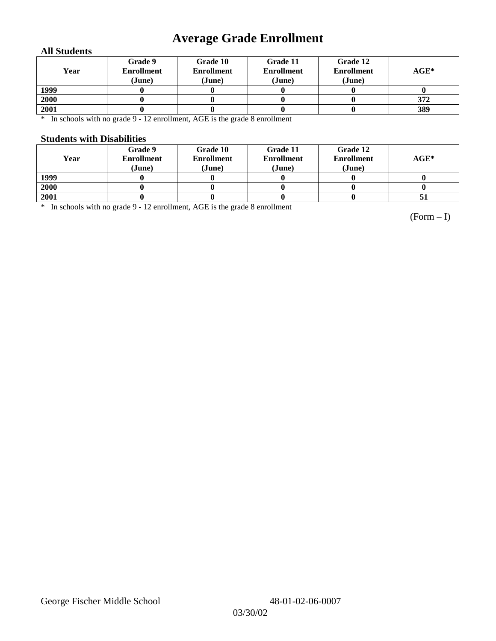# **Average Grade Enrollment**

#### **All Students**

| Year | Grade 9<br><b>Enrollment</b><br>(June) | Grade 10<br><b>Enrollment</b><br>(June) | Grade 11<br><b>Enrollment</b><br>(June) | Grade 12<br><b>Enrollment</b><br>(June) | $AGE^*$ |
|------|----------------------------------------|-----------------------------------------|-----------------------------------------|-----------------------------------------|---------|
| 1999 |                                        |                                         |                                         |                                         |         |
| 2000 |                                        |                                         |                                         |                                         | 372     |
| 2001 |                                        |                                         |                                         |                                         | 389     |

\* In schools with no grade 9 - 12 enrollment, AGE is the grade 8 enrollment

#### **Students with Disabilities**

| Year | Grade 9<br><b>Enrollment</b><br>(June) | Grade 10<br><b>Enrollment</b><br>(June) | Grade 11<br><b>Enrollment</b><br>(June) | Grade 12<br><b>Enrollment</b><br>(June) | $AGE^*$ |
|------|----------------------------------------|-----------------------------------------|-----------------------------------------|-----------------------------------------|---------|
| 1999 |                                        |                                         |                                         |                                         |         |
| 2000 |                                        |                                         |                                         |                                         |         |
| 2001 |                                        |                                         |                                         |                                         | 51      |

\* In schools with no grade 9 - 12 enrollment, AGE is the grade 8 enrollment

(Form – I)